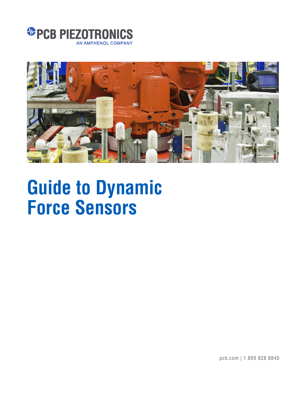



pcb.com | 1 800 828 8840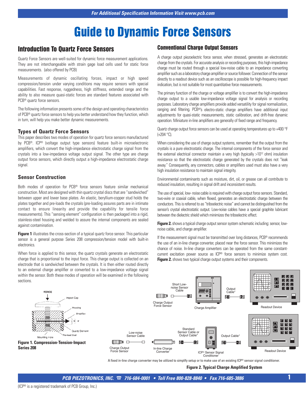# **Introduction To Quartz Force Sensors**

Quartz Force Sensors are well-suited for dynamic force measurement applications. They are not interchangeable with strain gage load cells used for static force measurements. (also offered by PCB)

Measurements of dynamic oscillating forces, impact or high speed compression/tension under varying conditions may require sensors with special capabilities. Fast response, ruggedness, high stiffness, extended range and the ability to also measure quasi-static forces are standard features associated with PCB® quartz force sensors.

The following information presents some of the design and operating characteristics of PCB® quartz force sensors to help you better understand how they function, which in turn, will help you make better dynamic measurements.

#### **Types of Quartz Force Sensors**

This paper describes two modes of operation for quartz force sensors manufactured by PCB®. ICP® (voltage output type sensors) feature built-in microelectronic amplifiers, which convert the high-impedance electrostatic charge signal from the crystals into a low-impedance voltage output signal. The other type are charge output force sensors, which directly output a high-impedance electrostatic charge signal.

#### **Sensor Construction**

Both modes of operation for PCB® force sensors feature similar mechanical construction. Most are designed with thin quartz crystal discs that are "sandwiched" between upper and lower base plates. An elastic, beryllium-copper stud holds the plates together and pre-loads the crystals (pre-loading assures parts are in intimate contact to ensure linearity and provide the capability for tensile force measurements). This "sensing element" configuration is then packaged into a rigid, stainless-steel housing and welded to assure the internal components are sealed against contamination.

**Figure 1** illustrates the cross-section of a typical quartz force sensor. This particular sensor is a general purpose Series 208 compression/tension model with built-in electronics.

When force is applied to this sensor, the quartz crystals generate an electrostatic charge that is proportional to the input force. This charge output is collected on an electrode that is sandwiched between the crystals. It is then either routed directly to an external charge amplifier or converted to a low-impedance voltage signal within the sensor. Both these modes of operation will be examined in the following sections.

### **Conventional Charge Output Sensors**

A charge output piezoelectric force sensor, when stressed, generates an electrostatic charge from the crystals. For accurate analysis or recording purposes, this high-impedance charge must be routed through a special low-noise cable to an impedance converting amplifier such as a laboratory charge amplifier or source follower. Connection of the sensor directly to a readout device such as an oscilloscope is possible for high-frequency impact indication, but is not suitable for most quantitative force measurements.

The primary function of the charge or voltage amplifier is to convert the high-impedance charge output to a usable low-impedance voltage signal for analysis or recording purposes. Laboratory charge amplifiers provide added versatility for signal normalization, ranging and filtering. PCB®'s electro-static charge amplifiers have additional input adjustments for quasi-static measurements, static calibration, and drift-free dynamic operation. Miniature in-line amplifiers are generally of fixed range and frequency.

Quartz charge output force sensors can be used at operating temperatures up to +400 °F (+204 °C).

When considering the use of charge output systems, remember that the output from the crystals is a pure electrostatic charge. The internal components of the force sensor and the external electrical connector maintain a very high (typically  $>10^{12}$  ohm) insulation resistance so that the electrostatic charge generated by the crystals does not "leak away." Consequently, any connectors, cables or amplifiers used must also have a very high insulation resistance to maintain signal integrity.

Environmental contaminants such as moisture, dirt, oil, or grease can all contribute to reduced insulation, resulting in signal drift and inconsistent results.

The use of special, low- noise cable is required with charge output force sensors. Standard, two-wire or coaxial cable, when flexed, generates an electrostatic charge between the conductors. This is referred to as "triboelectric noise" and cannot be distinguished from the sensor's crystal electrostatic output. Low-noise cables have a special graphite lubricant between the dielectric shield which minimizes the triboelectric effect.

**Figure 2.** shows a typical charge output sensor system schematic including: sensor, lownoise cable, and charge amplifier.

If the measurement signal must be transmitted over long distances, PCB® recommends the use of an in-line charge converter, placed near the force sensor. This minimizes the chance of noise. In-line charge converters can be operated from the same constantcurrent excitation power source as ICP® force sensors to minimize system cost. **Figure 2.** shows two typical charge output systems and their components.



A fixed in-line charge converter may be utilized to simplify setup or to make use of an existing ICP® sensor signal conditioner.

**Figure 2. Typical Charge Amplified System**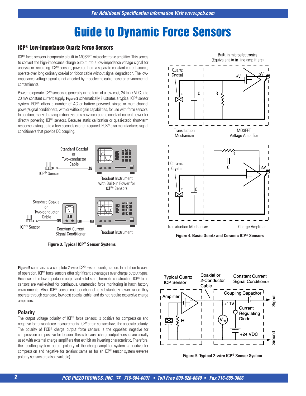## **ICP® Low-Impedance Quartz Force Sensors**

ICP® force sensors incorporate a built-in MOSFET microelectronic amplifier. This serves to convert the high-impedance charge output into a low-impedance voltage signal for analysis or recording. ICP® sensors, powered from a separate constant current source, operate over long ordinary coaxial or ribbon cable without signal degradation. The lowimpedance voltage signal is not affected by triboelectric cable noise or environmental contaminants.

Power to operate ICP® sensors is generally in the form of a low cost, 24 to 27 VDC, 2 to 20 mA constant current supply. **Figure 3** schematically illustrates a typical ICP® sensor system. PCB<sup>®</sup> offers a number of AC or battery powered, single or multi-channel power/signal conditioners, with or without gain capabilities, for use with force sensors. In addition, many data acquisition systems now incorporate constant current power for directly powering ICP® sensors. Because static calibration or quasi-static short-term response lasting up to a few seconds is often required, PCB® also manufactures signal conditioners that provide DC coupling.



**Figure 3. Typical ICP® Sensor Systems**

**Figure 5** summarizes a complete 2-wire ICP<sup>®</sup> system configuration. In addition to ease of operation, ICP® force sensors offer significant advantages over charge output types. Because of the low-impedance output and solid-state, hermetic construction, ICP® force sensors are well-suited for continuous, unattended force monitoring in harsh factory environments. Also, ICP® sensor cost-per-channel is substantially lower, since they operate through standard, low-cost coaxial cable, and do not require expensive charge amplifiers.

#### **Polarity**

The output voltage polarity of ICP® force sensors is positive for compression and negative for tension force measurements. ICP®strain sensors have the opposite polarity. The polarity of PCB® charge output force sensors is the opposite: negative for compression and positive for tension. This is because charge output sensors are usually used with external charge amplifiers that exhibit an inverting characteristic. Therefore, the resulting system output polarity of the charge amplifier system is positive for compression and negative for tension; same as for an ICP® sensor system (reverse polarity sensors are also available). **Figure 5. Typical 2-wire ICP® Sensor System**



**Figure 4. Basic Quartz and Ceramic ICP® Sensors**



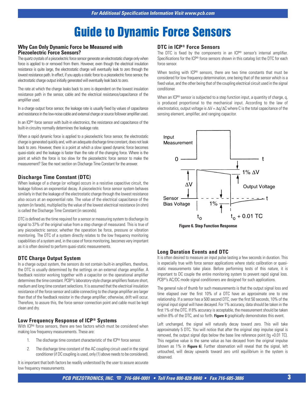#### **Why Can Only Dynamic Force be Measured with Piezoelectric Force Sensors?**

The quartz crystals of a piezoelectric force sensor generate an electrostatic charge only when force is applied to or removed from them. However, even though the electrical insulation resistance is quite large, the electrostatic charge will eventually leak to zero through the lowest resistance path. In effect, if you apply a static force to a piezoelectric force sensor, the electrostatic charge output initially generated will eventually leak back to zero.

The rate at which the charge leaks back to zero is dependent on the lowest insulation resistance path in the sensor, cable and the electrical resistance/capacitance of the amplifier used.

In a charge output force sensor, the leakage rate is usually fixed by values of capacitance and resistance in the low-noise cable and external charge or source follower amplifier used.

In an ICP® force sensor with built-in electronics, the resistance and capacitance of the built-in circuitry normally determines the leakage rate.

When a rapid dynamic force is applied to a piezoelectric force sensor, the electrostatic charge is generated quickly and, with an adequate discharge time constant, does not leak back to zero. However, there is a point at which a slow speed dynamic force becomes quasi-static and the leakage is faster than the rate of the changing force. Where is the point at which the force is too slow for the piezoelectric force sensor to make the measurement? See the next section on Discharge Time Constant for the answer.

### **Discharge Time Constant (DTC)**

When leakage of a charge (or voltage) occurs in a resistive capacitive circuit, the leakage follows an exponential decay. A piezoelectric force sensor system behaves similarly in that the leakage of the electrostatic charge through the lowest resistance also occurs at an exponential rate. The value of the electrical capacitance of the system (in farads), multiplied by the value of the lowest electrical resistance (in ohm) is called the Discharge Time Constant (in seconds).

DTC is defined as the time required for a sensor or measuring system to discharge its signal to 37% of the original value from a step change of measurand. This is true of any piezoelectric sensor, whether the operation be force, pressure or vibration monitoring. The DTC of a system directly relates to the low frequency monitoring capabilities of a system and, in the case of force monitoring, becomes very important as it is often desired to perform quasi-static measurements.

### **DTC Charge Output System**

In a charge output system, the sensors do not contain built-in amplifiers, therefore, the DTC is usually determined by the settings on an external charge amplifier. A feedback resistor working together with a capacitor on the operational amplifier determines the time constant. PCB®'s laboratory-style charge amplifiers feature short, medium and long time constant selections. It is assumed that the electrical insulation resistance of the force sensor and cable connecting to the charge amplifier are larger than that of the feedback resistor in the charge amplifier; otherwise, drift will occur. Therefore, to assure this, the force sensor connection point and cable must be kept clean and dry.

#### **Low Frequency Response of ICP® Systems**

With ICP<sup>®</sup> force sensors, there are two factors which must be considered when making low frequency measurements. These are:

- 1. The discharge time constant characteristic of the ICP® force sensor.
- 2. The discharge time constant of the AC coupling circuit used in the signal conditioner (if DC coupling is used, only (1) above needs to be considered).

It is important that both factors be readily understood by the user to assure accurate low frequency measurements.

### **DTC in ICP® Force Sensors**

The DTC is fixed by the components in an ICP® sensor's internal amplifier. Specifications for the ICP® force sensors shown in this catalog list the DTC for each force sensor.

When testing with ICP<sup>®</sup> sensors, there are two time constants that must be considered for low frequency determination, one being that of the sensor which is a fixed value, and the other being that of the coupling electrical circuit used in the signal conditioner.

When an ICP<sup>®</sup> sensor is subjected to a step function input, a quantity of charge, q, is produced proportional to the mechanical input. According to the law of electrostatics, output voltage is  $\Delta V = \Delta q / \Delta C$  where C is the total capacitance of the sensing element, amplifier, and ranging capacitor.





### **Long Duration Events and DTC**

It is often desired to measure an input pulse lasting a few seconds in duration. This is especially true with force sensor applications where static calibration or quasistatic measurements take place. Before performing tests of this nature, it is important to DC couple the entire monitoring system to prevent rapid signal loss. PCB®'s AC/DC mode signal conditioners are designed for such applications.

The general rule of thumb for such measurements is that the output signal loss and time elapsed over the first 10% of a DTC have an approximate one to one relationship. If a sensor has a 500 second DTC, over the first 50 seconds, 10% of the original input signal will have decayed. For 1% accuracy, data should be taken in the first 1% of the DTC. If 8% accuracy is acceptable, the measurement should be taken within 8% of the DTC, and so forth. **Figure 6** graphically demonstrates this event.

Left unchanged, the signal will naturally decay toward zero. This will take approximately 5 DTC. You will notice that after the original step impulse signal is removed, the output signal dips below the base line reference point ( $t_0$  +0.01 TC). This negative value is the same value as has decayed from the original impulse (shown as 1% in **Figure 6**). Further observation will reveal that the signal, left untouched, will decay upwards toward zero until equilibrium in the system is observed.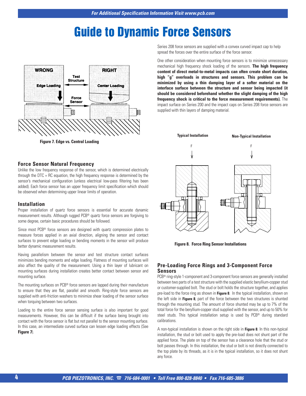

**Figure 7. Edge vs. Central Loading**

#### **Force Sensor Natural Frequency**

Unlike the low frequency response of the sensor, which is determined electrically through the DTC = RC equation, the high frequency response is determined by the sensor's mechanical configuration (unless electrical low-pass filtering has been added). Each force sensor has an upper frequency limit specification which should be observed when determining upper linear limits of operation.

#### **Installation**

Proper installation of quartz force sensors is essential for accurate dynamic measurement results. Although rugged PCB® quartz force sensors are forgiving to some degree, certain basic procedures should be followed.

Since most PCB® force sensors are designed with quartz compression plates to measure forces applied in an axial direction, aligning the sensor and contact surfaces to prevent edge loading or bending moments in the sensor will produce better dynamic measurement results.

Having parallelism between the sensor and test structure contact surfaces minimizes bending moments and edge loading. Flatness of mounting surfaces will also affect the quality of the measurement. Using a thin layer of lubricant on mounting surfaces during installation creates better contact between sensor and mounting surface.

The mounting surfaces on PCB® force sensors are lapped during their manufacture to ensure that they are flat, parallel and smooth. Ring-style force sensors are supplied with anti-friction washers to minimize shear loading of the sensor surface when torquing between two surfaces.

Loading to the entire force sensor sensing surface is also important for good measurements. However, this can be difficult if the surface being brought into contact with the force sensor is flat but not parallel to the sensor mounting surface. In this case, an intermediate curved surface can lessen edge loading effects (See **Figure 7**).

Series 208 force sensors are supplied with a convex curved impact cap to help spread the forces over the entire surface of the force sensor.

One other consideration when mounting force sensors is to minimize unnecessary mechanical high frequency shock loading of the sensors. **The high frequency content of direct metal-to-metal impacts can often create short duration, high "g" overloads in structures and sensors. This problem can be minimized by using a thin damping layer of a softer material on the interface surface between the structure and sensor being impacted (it should be considered beforehand whether the slight damping of the high frequency shock is critical to the force measurement requirements).** The impact surface on Series 200 and the impact caps on Series 208 force sensors are supplied with thin layers of damping material.



**Figure 8. Force Ring Sensor Installations**

#### **Pre-Loading Force Rings and 3-Component Force Sensors**

PCB® ring-style 1-component and 3-component force sensors are generally installed between two parts of a test structure with the supplied elastic beryllium-copper stud or customer-supplied bolt. The stud or bolt holds the structure together, and applies pre-load to the force ring as shown in **Figure 8**. In the typical installation, shown on the left side in **Figure 8**, part of the force between the two structures is shunted through the mounting stud. The amount of force shunted may be up to 7% of the total force for the beryllium-copper stud supplied with the sensor, and up to 50% for steel studs. This typical installation setup is used by PCB® during standard calibrations.

A non-typical installation is shown on the right side in **Figure 8**. In this non-typical installation, the stud or bolt used to apply the pre-load does not shunt part of the applied force. The plate on top of the sensor has a clearance hole that the stud or bolt passes through. In this installation, the stud or bolt is not directly connected to the top plate by its threads, as it is in the typical installation, so it does not shunt any force.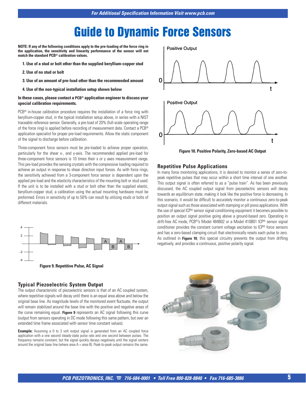**NOTE: If any of the following conditions apply to the pre-loading of the force ring in the application, the sensitivity and linearity performance of the sensor will not match the standard PCB® calibration values.**

- **1. Use of a stud or bolt other than the supplied beryllium-copper stud**
- **2. Use of no stud or bolt**
- **3. Use of an amount of pre-load other than the recommended amount**
- **4. Use of the non-typical installation setup shown below**

#### **In these cases, please contact a PCB® application engineer to discuss your special calibration requirements.**

PCB<sup>®</sup> in-house calibration procedure requires the installation of a force ring with beryllium-copper stud, in the typical installation setup above, in series with a NIST traceable reference sensor. Generally, a pre-load of 20% (full-scale operating range of the force ring) is applied before recording of measurement data. Contact a PCB® application specialist for proper pre-load requirements. Allow the static component of the signal to discharge before calibration.

Three-component force sensors must be pre-loaded to achieve proper operation, particularly for the shear x-, and y-axis. The recommended applied pre-load for three-component force sensors is 10 times their x or y axes measurement range. This pre-load provides the sensing crystals with the compressive loading required to achieve an output in response to shear direction input forces. As with force rings, the sensitivity achieved from a 3-component force sensor is dependent upon the applied pre-load and the elasticity characteristics of the mounting bolt or stud used. If the unit is to be installed with a stud or bolt other than the supplied elastic, beryllium-copper stud, a calibration using the actual mounting hardware must be preformed. Errors in sensitivity of up to 50% can result by utilizing studs or bolts of different materials.



### **Typical Piezoelectric System Output**

The output characteristic of piezoelectric sensors is that of an AC coupled system, where repetitive signals will decay until there is an equal area above and below the original base line. As magnitude levels of the monitored event fluctuate, the output will remain stabilized around the base line with the positive and negative areas of the curve remaining equal. **Figure 9** represents an AC signal following this curve (output from sensors operating in DC mode following this same pattern, but over an extended time frame associated with sensor time constant values).

**Example:** Assuming a 0 to 3 volt output signal is generated from an AC coupled force application with a one second steady-state pulse rate and one second between pulses. The frequency remains constant, but the signal quickly decays negatively until the signal centers around the original base line (where area  $A = area B$ ). Peak-to-peak output remains the same.



#### **Repetitive Pulse Applications**

In many force monitoring applications, it is desired to monitor a series of zero-topeak repetitive pulses that may occur within a short time interval of one another. This output signal is often referred to as a "pulse train". As has been previously discussed, the AC coupled output signal from piezoelectric sensors will decay towards an equilibrium state, making it look like the positive force is decreasing. In this scenario, it would be difficult to accurately monitor a continuous zero-to-peak output signal such as those associated with stamping or pill press applications. With the use of special ICP® sensor signal conditioning equipment it becomes possible to position an output signal positive going above a ground-based zero. Operating in drift-free AC mode, PCB®'s Model 484B02 or a Model 410B01 ICP® sensor signal conditioner provides the constant current voltage excitation to ICP® force sensors and has a zero-based clamping circuit that electronically resets each pulse to zero. As outlined in **Figure 10**, this special circuitry prevents the output from drifting negatively, and provides a continuous, positive polarity signal.

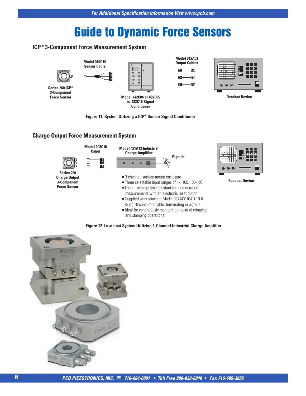# **ICP® 3-Component Force Measurement System**



# **Charge Output Force Measurement System**



**Figure 12. Low-cost System Utilizing 3-Channel Industrial Charge Amplifier**